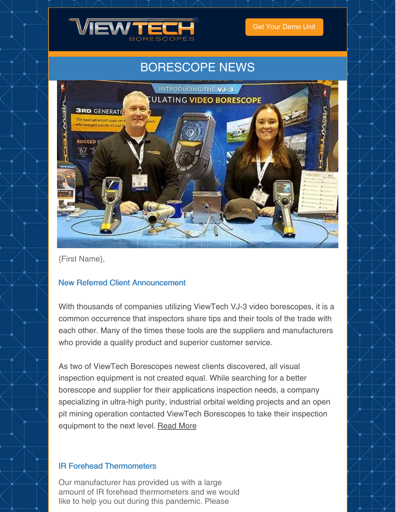

Get Your [Demo](https://www.viewtech.com/borescope-demo-offer/?utm_source=newsletter&utm_medium=email&utm_campaign=newsletter0421) Unit

## BORESCOPE NEWS



{First Name},

### New Referred Client Announcement

With thousands of companies utilizing ViewTech VJ-3 video borescopes, it is a common occurrence that inspectors share tips and their tools of the trade with each other. Many of the times these tools are the suppliers and manufacturers who provide a quality product and superior customer service.

As two of ViewTech Borescopes newest clients discovered, all visual inspection equipment is not created equal. While searching for a better borescope and supplier for their applications inspection needs, a company specializing in ultra-high purity, industrial orbital welding projects and an open pit mining operation contacted ViewTech Borescopes to take their inspection equipment to the next level. [Read](https://www.viewtech.com/viewtech-borescopes-referred-clients/?utm_source=newsletter&utm_medium=email&utm_campaign=newsletter0421) More

#### IR Forehead Thermometers

Our manufacturer has provided us with a large amount of IR forehead thermometers and we would like to help you out during this pandemic. Please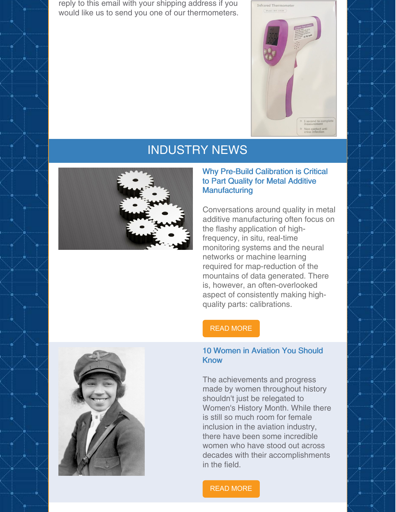reply to this email with your shipping address if you would like us to send you one of our thermometers.



## INDUSTRY NEWS



#### Why Pre-Build Calibration is Critical to Part Quality for Metal Additive **Manufacturing**

Conversations around quality in metal additive manufacturing often focus on the flashy application of highfrequency, in situ, real-time monitoring systems and the neural networks or machine learning required for map-reduction of the mountains of data generated. There is, however, an often-overlooked aspect of consistently making highquality parts: calibrations.

#### READ [MORE](https://www.qualitymag.com/articles/96242-why-pre-build-calibration-is-critical-to-part-quality-for-metal-additive-manufacturing?oly_enc_id=7121J1698590F4R)

#### 10 Women in Aviation You Should Know

The achievements and progress made by women throughout history shouldn't just be relegated to Women's History Month. While there is still so much room for female inclusion in the aviation industry, there have been some incredible women who have stood out across decades with their accomplishments in the field.

#### READ [MORE](https://www.fodors.com/news/photos/10-women-in-aviation-you-should-know)

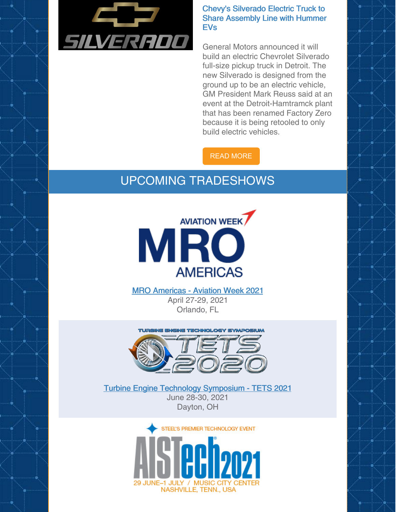

#### Chevy's Silverado Electric Truck to Share Assembly Line with Hummer **FV<sub>s</sub>**

General Motors announced it will build an electric Chevrolet Silverado full-size pickup truck in Detroit. The new Silverado is designed from the ground up to be an electric vehicle, GM President Mark Reuss said at an event at the Detroit-Hamtramck plant that has been renamed Factory Zero because it is being retooled to only build electric vehicles.

### READ [MORE](https://www.motortrend.com/news/chevrolet-silverado-ev-truck-announcement/)

# UPCOMING TRADESHOWS



MRO [Americas](https://www.viewtech.com/about-us/tradeshows/mro-americas-aviation-week-2021/?utm_source=newsletter&utm_medium=email&utm_campaign=newsletter0421) - Aviation Week 2021 April 27-29, 2021 Orlando, FL



Turbine Engine Technology [Symposium](https://www.viewtech.com/about-us/tradeshows/turbine-engine-technology-symposium-tets-2021/?utm_source=newsletter&utm_medium=email&utm_campaign=newsletter0421) - TETS 2021 June 28-30, 2021 Dayton, OH